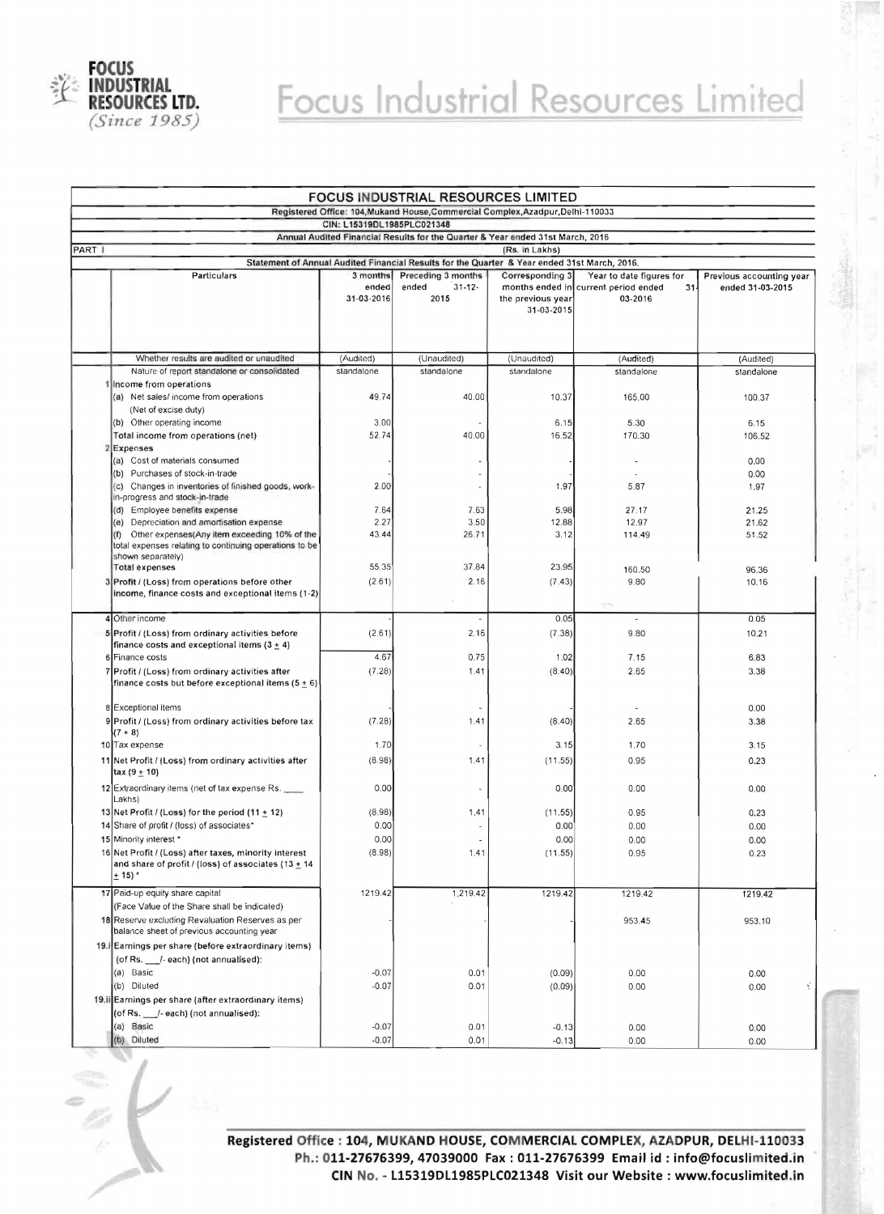

## Focus Industrial Resources Limited

| <b>FOCUS INDUSTRIAL RESOURCES LIMITED</b>                                       |                                                                                                  |                         |                                                                                              |                                 |                                                           |                          |  |  |  |  |
|---------------------------------------------------------------------------------|--------------------------------------------------------------------------------------------------|-------------------------|----------------------------------------------------------------------------------------------|---------------------------------|-----------------------------------------------------------|--------------------------|--|--|--|--|
| Registered Office: 104, Mukand House, Commercial Complex, Azadpur, Delhi-110033 |                                                                                                  |                         |                                                                                              |                                 |                                                           |                          |  |  |  |  |
| CIN: L15319DL1985PLC021348                                                      |                                                                                                  |                         |                                                                                              |                                 |                                                           |                          |  |  |  |  |
| PART I                                                                          | Annual Audited Financial Results for the Quarter & Year ended 31st March, 2016<br>(Rs. in Lakhs) |                         |                                                                                              |                                 |                                                           |                          |  |  |  |  |
|                                                                                 |                                                                                                  |                         | Statement of Annual Audited Financial Results for the Quarter & Year ended 31st March, 2016. |                                 |                                                           |                          |  |  |  |  |
|                                                                                 | Particulars                                                                                      | 3 months                | Preceding 3 months                                                                           | Corresponding 3                 | Year to date figures for                                  | Previous accounting year |  |  |  |  |
|                                                                                 |                                                                                                  | ended<br>31-03-2016     | ended<br>$31 - 12$<br>2015                                                                   | the previous year<br>31-03-2015 | months ended in current period ended<br>$31 -$<br>03-2016 | ended 31-03-2015         |  |  |  |  |
|                                                                                 |                                                                                                  |                         |                                                                                              |                                 |                                                           |                          |  |  |  |  |
|                                                                                 | Whether results are audited or unaudited<br>Nature of report standalone or consolidated          | (Audited)<br>standalone | (Unaudited)                                                                                  | (Unaudited)<br>standalone       | (Audited)                                                 | (Audited)                |  |  |  |  |
|                                                                                 | 1 Income from operations                                                                         |                         | standalone                                                                                   |                                 | standalone                                                | standalone               |  |  |  |  |
|                                                                                 | (a) Net sales/income from operations                                                             | 49.74                   | 40.00                                                                                        | 10.37                           | 165.00                                                    | 100.37                   |  |  |  |  |
|                                                                                 | (Net of excise duty)                                                                             |                         |                                                                                              |                                 |                                                           |                          |  |  |  |  |
|                                                                                 | (b) Other operating income                                                                       | 3.00                    |                                                                                              | 6.15                            | 5.30                                                      | 6.15                     |  |  |  |  |
|                                                                                 | Total income from operations (net)                                                               | 52.74                   | 40.00                                                                                        | 16.52                           | 170.30                                                    | 106.52                   |  |  |  |  |
|                                                                                 | Expenses                                                                                         |                         |                                                                                              |                                 |                                                           |                          |  |  |  |  |
|                                                                                 | (a) Cost of materials consumed                                                                   |                         |                                                                                              |                                 |                                                           | 0.00                     |  |  |  |  |
|                                                                                 | (b) Purchases of stock-in-trade<br>(c) Changes in inventories of finished goods, work-           | 2.00                    |                                                                                              | 1.97                            | 5.87                                                      | 0.00<br>1.97             |  |  |  |  |
|                                                                                 | in-progress and stock-in-trade                                                                   |                         |                                                                                              |                                 |                                                           |                          |  |  |  |  |
|                                                                                 | (d) Employee benefits expense                                                                    | 7.64                    | 7.63                                                                                         | 5.98                            | 27.17                                                     | 21.25                    |  |  |  |  |
|                                                                                 | (e) Depreciation and amortisation expense                                                        | 2.27                    | 3.50                                                                                         | 12.88                           | 12.97                                                     | 21.62                    |  |  |  |  |
|                                                                                 | Other expenses(Any item exceeding 10% of the<br>(f)                                              | 43.44                   | 26.71                                                                                        | 3.12                            | 114.49                                                    | 51.52                    |  |  |  |  |
|                                                                                 | total expenses relating to continuing operations to be<br>shown separately)                      |                         |                                                                                              |                                 |                                                           |                          |  |  |  |  |
|                                                                                 | <b>Total expenses</b>                                                                            | 55.35                   | 37.84                                                                                        | 23.95                           | 160.50                                                    | 96.36                    |  |  |  |  |
|                                                                                 | 3 Profit / (Loss) from operations before other                                                   | (2.61)                  | 2.16                                                                                         | (7.43)                          | 9.80                                                      | 10.16                    |  |  |  |  |
|                                                                                 | income, finance costs and exceptional items (1-2)                                                |                         |                                                                                              |                                 |                                                           |                          |  |  |  |  |
|                                                                                 |                                                                                                  |                         |                                                                                              |                                 | $\mathcal{L}^{\text{reg}}$                                |                          |  |  |  |  |
|                                                                                 | 4 Other income                                                                                   |                         |                                                                                              | 0.05                            | $\sim$                                                    | 0.05                     |  |  |  |  |
|                                                                                 | 5 Profit / (Loss) from ordinary activities before                                                | (2.61)                  | 2.16                                                                                         | (7.38)                          | 9.80                                                      | 10.21                    |  |  |  |  |
|                                                                                 | finance costs and exceptional items $(3 + 4)$<br>6 Finance costs                                 | 4.67                    | 0.75                                                                                         | 1.02                            | 7.15                                                      | 6.83                     |  |  |  |  |
|                                                                                 | 7 Profit / (Loss) from ordinary activities after                                                 | (7.28)                  | 1.41                                                                                         | (8.40)                          | 2.65                                                      | 3.38                     |  |  |  |  |
|                                                                                 | finance costs but before exceptional items $(5 + 6)$                                             |                         |                                                                                              |                                 |                                                           |                          |  |  |  |  |
|                                                                                 |                                                                                                  |                         |                                                                                              |                                 |                                                           |                          |  |  |  |  |
|                                                                                 | 8 Exceptional items                                                                              |                         |                                                                                              |                                 |                                                           | 0.00                     |  |  |  |  |
|                                                                                 | 9 Profit / (Loss) from ordinary activities before tax                                            | (7.28)                  | 1.41                                                                                         | (8.40)                          | 2.65                                                      | 3.38                     |  |  |  |  |
|                                                                                 | $(7 + 8)$<br>10 Tax expense                                                                      | 1.70                    |                                                                                              | 3.15                            | 1.70                                                      | 3.15                     |  |  |  |  |
|                                                                                 |                                                                                                  | (8.98)                  |                                                                                              |                                 | 0.95                                                      |                          |  |  |  |  |
|                                                                                 | 11 Net Profit / (Loss) from ordinary activities after<br>tax (9 ± 10)                            |                         | 1.41                                                                                         | (11.55)                         |                                                           | 0.23                     |  |  |  |  |
|                                                                                 | 12 Extraordinary items (net of tax expense Rs.                                                   | 0.00                    |                                                                                              | 0.00                            | 0.00                                                      | 0.00                     |  |  |  |  |
|                                                                                 | Lakhs)                                                                                           |                         |                                                                                              |                                 |                                                           |                          |  |  |  |  |
|                                                                                 | 13 Net Profit / (Loss) for the period (11 $\pm$ 12)                                              | (8.98)                  | 1.41                                                                                         | (11.55)                         | 0.95                                                      | 0.23                     |  |  |  |  |
|                                                                                 | 14 Share of profit / (loss) of associates*                                                       | 0.00                    |                                                                                              | 0.00                            | 0.00                                                      | 0.00                     |  |  |  |  |
|                                                                                 | 15 Minority interest *                                                                           | 0.00                    |                                                                                              | 0.00                            | 0.00                                                      | 0.00                     |  |  |  |  |
|                                                                                 | 16 Net Profit / (Loss) after taxes, minority interest                                            | (8.98)                  | 1.41                                                                                         | (11.55)                         | 0.95                                                      | 0.23                     |  |  |  |  |
|                                                                                 | and share of profit / (loss) of associates $(13 + 14)$<br>$+15$                                  |                         |                                                                                              |                                 |                                                           |                          |  |  |  |  |
|                                                                                 |                                                                                                  |                         |                                                                                              |                                 |                                                           |                          |  |  |  |  |
|                                                                                 | 17 Paid-up equity share capital                                                                  | 1219.42                 | 1,219.42                                                                                     | 1219.42                         | 1219.42                                                   | 1219.42                  |  |  |  |  |
|                                                                                 | (Face Value of the Share shall be indicated)<br>18 Reserve excluding Revaluation Reserves as per |                         |                                                                                              |                                 |                                                           |                          |  |  |  |  |
|                                                                                 | balance sheet of previous accounting year                                                        |                         |                                                                                              |                                 | 953.45                                                    | 953.10                   |  |  |  |  |
|                                                                                 | 19. Earnings per share (before extraordinary items)                                              |                         |                                                                                              |                                 |                                                           |                          |  |  |  |  |
|                                                                                 | (of Rs. /- each) (not annualised):                                                               |                         |                                                                                              |                                 |                                                           |                          |  |  |  |  |
|                                                                                 | (a) Basic                                                                                        | $-0.07$                 | 0.01                                                                                         | (0.09)                          | 0.00                                                      | 0.00                     |  |  |  |  |
|                                                                                 | (b) Diluted                                                                                      | $-0.07$                 | 0.01                                                                                         | (0.09)                          | 0.00                                                      | Ý<br>0.00                |  |  |  |  |
|                                                                                 | 19.ii Earnings per share (after extraordinary items)                                             |                         |                                                                                              |                                 |                                                           |                          |  |  |  |  |
|                                                                                 | (of Rs. __/- each) (not annualised):                                                             |                         |                                                                                              |                                 |                                                           |                          |  |  |  |  |
|                                                                                 | (a) Basic                                                                                        | $-0.07$                 | 0.01                                                                                         | $-0.13$                         | 0.00                                                      | 0.00                     |  |  |  |  |
|                                                                                 | (b) Diluted                                                                                      | $-0.07$                 | 0.01                                                                                         | $-0.13$                         | 0.00                                                      | 0.00                     |  |  |  |  |

**Registered Office : 104, MUKAND HOUSE, COM MERCIAL COMPLEX, AZADPUR, DELHI-110033**  Ph.: 011-27676399, 47039000 Fax : 011-27676399 Email id : info@focuslimited.in **CIN No. - L15319DL1985PLC021348 Visit our Website: www.focuslimited.in**